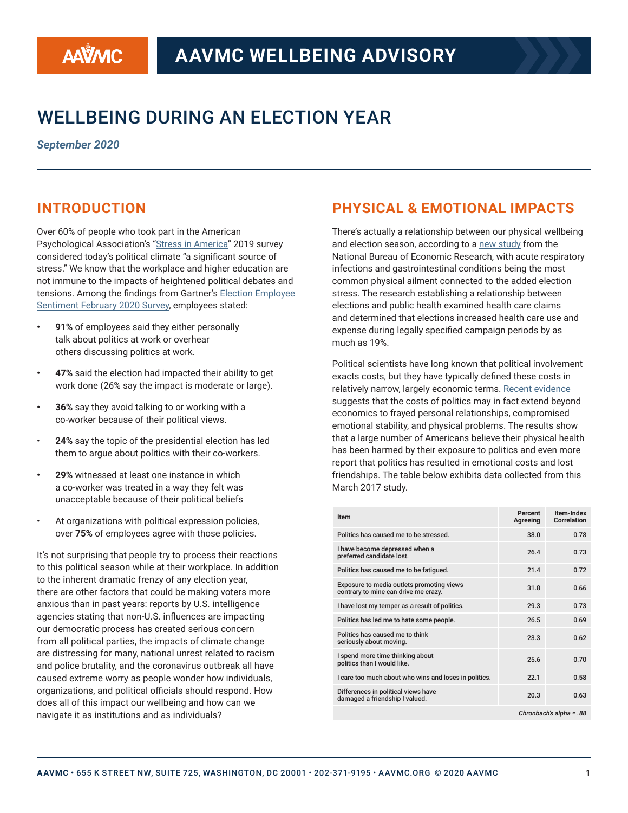# WELLBEING DURING AN ELECTION YEAR

*September 2020*

### **INTRODUCTION**

Over 60% of people who took part in the American Psychological Association's ["Stress in America](https://www.apa.org/news/press/releases/stress/2019/stress-america-2019.pdf)" 2019 survey considered today's political climate "a signifcant source of stress." We know that the workplace and higher education are not immune to the impacts of heightened political debates and tensions. Among the fndings from Gartner's [Election Employee](https://www.cebglobal.com/member/hr-int/research/article/20/2020-us-election-employee-sentiment-survey-february-2020.html)  [Sentiment February 2020 Survey,](https://www.cebglobal.com/member/hr-int/research/article/20/2020-us-election-employee-sentiment-survey-february-2020.html) employees stated:

- **• 91%** of employees said they either personally talk about politics at work or overhear others discussing politics at work.
- **• 47%** said the election had impacted their ability to get work done (26% say the impact is moderate or large).
- **• 36%** say they avoid talking to or working with a co-worker because of their political views.
- **24%** say the topic of the presidential election has led them to argue about politics with their co-workers.
- **• 29%** witnessed at least one instance in which a co-worker was treated in a way they felt was unacceptable because of their political beliefs
- At organizations with political expression policies, over **75%** of employees agree with those policies.

It's not surprising that people try to process their reactions to this political season while at their workplace. In addition to the inherent dramatic frenzy of any election year, there are other factors that could be making voters more anxious than in past years: reports by U.S. intelligence agencies stating that non-U.S. infuences are impacting our democratic process has created serious concern from all political parties, the impacts of climate change are distressing for many, national unrest related to racism and police brutality, and the coronavirus outbreak all have caused extreme worry as people wonder how individuals, organizations, and political officials should respond. How does all of this impact our wellbeing and how can we navigate it as institutions and as individuals?

### **PHYSICAL & EMOTIONAL IMPACTS**

There's actually a relationship between our physical wellbeing and election season, according to a [new study](https://www.nber.org/papers/w26697) from the National Bureau of Economic Research, with acute respiratory infections and gastrointestinal conditions being the most common physical ailment connected to the added election stress. The research establishing a relationship between elections and public health examined health care claims and determined that elections increased health care use and expense during legally specifed campaign periods by as much as 19%.

Political scientists have long known that political involvement exacts costs, but they have typically defned these costs in relatively narrow, largely economic terms. [Recent evidence](https://journals.plos.org/plosone/article?id=10.1371/journal.pone.0221870) suggests that the costs of politics may in fact extend beyond economics to frayed personal relationships, compromised emotional stability, and physical problems. The results show that a large number of Americans believe their physical health has been harmed by their exposure to politics and even more report that politics has resulted in emotional costs and lost friendships. The table below exhibits data collected from this March 2017 study.

| Item                                                                              | Percent<br>Agreeing | Item-Index<br><b>Correlation</b> |
|-----------------------------------------------------------------------------------|---------------------|----------------------------------|
| Politics has caused me to be stressed.                                            | 38.0                | 0.78                             |
| I have become depressed when a<br>preferred candidate lost.                       | 26.4                | 0.73                             |
| Politics has caused me to be fatigued.                                            | 21.4                | 0.72                             |
| Exposure to media outlets promoting views<br>contrary to mine can drive me crazy. | 31.8                | 0.66                             |
| I have lost my temper as a result of politics.                                    | 29.3                | 0.73                             |
| Politics has led me to hate some people.                                          | 26.5                | 0.69                             |
| Politics has caused me to think<br>seriously about moving.                        | 23.3                | 0.62                             |
| I spend more time thinking about<br>politics than I would like.                   | 25.6                | 0.70                             |
| I care too much about who wins and loses in politics.                             | 22.1                | 0.58                             |
| Differences in political views have<br>damaged a friendship I valued.             | 20.3                | 0.63                             |
| Chronbach's alpha = .88                                                           |                     |                                  |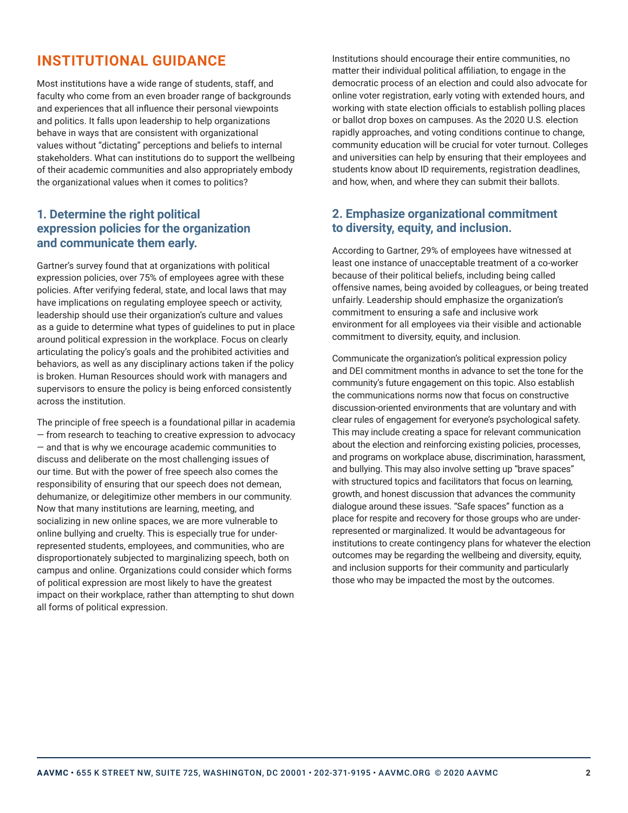### **INSTITUTIONAL GUIDANCE**

Most institutions have a wide range of students, staff, and faculty who come from an even broader range of backgrounds and experiences that all infuence their personal viewpoints and politics. It falls upon leadership to help organizations behave in ways that are consistent with organizational values without "dictating" perceptions and beliefs to internal stakeholders. What can institutions do to support the wellbeing of their academic communities and also appropriately embody the organizational values when it comes to politics?

#### **1. Determine the right political expression policies for the organization and communicate them early.**

Gartner's survey found that at organizations with political expression policies, over 75% of employees agree with these policies. After verifying federal, state, and local laws that may have implications on regulating employee speech or activity, leadership should use their organization's culture and values as a guide to determine what types of guidelines to put in place around political expression in the workplace. Focus on clearly articulating the policy's goals and the prohibited activities and behaviors, as well as any disciplinary actions taken if the policy is broken. Human Resources should work with managers and supervisors to ensure the policy is being enforced consistently across the institution.

The principle of free speech is a foundational pillar in academia — from research to teaching to creative expression to advocacy — and that is why we encourage academic communities to discuss and deliberate on the most challenging issues of our time. But with the power of free speech also comes the responsibility of ensuring that our speech does not demean, dehumanize, or delegitimize other members in our community. Now that many institutions are learning, meeting, and socializing in new online spaces, we are more vulnerable to online bullying and cruelty. This is especially true for underrepresented students, employees, and communities, who are disproportionately subjected to marginalizing speech, both on campus and online. Organizations could consider which forms of political expression are most likely to have the greatest impact on their workplace, rather than attempting to shut down all forms of political expression.

Institutions should encourage their entire communities, no matter their individual political affiliation, to engage in the democratic process of an election and could also advocate for online voter registration, early voting with extended hours, and working with state election officials to establish polling places or ballot drop boxes on campuses. As the 2020 U.S. election rapidly approaches, and voting conditions continue to change, community education will be crucial for voter turnout. Colleges and universities can help by ensuring that their employees and students know about ID requirements, registration deadlines, and how, when, and where they can submit their ballots.

#### **2. Emphasize organizational commitment to diversity, equity, and inclusion.**

According to Gartner, 29% of employees have witnessed at least one instance of unacceptable treatment of a co-worker because of their political beliefs, including being called offensive names, being avoided by colleagues, or being treated unfairly. Leadership should emphasize the organization's commitment to ensuring a safe and inclusive work environment for all employees via their visible and actionable commitment to diversity, equity, and inclusion.

Communicate the organization's political expression policy and DEI commitment months in advance to set the tone for the community's future engagement on this topic. Also establish the communications norms now that focus on constructive discussion-oriented environments that are voluntary and with clear rules of engagement for everyone's psychological safety. This may include creating a space for relevant communication about the election and reinforcing existing policies, processes, and programs on workplace abuse, discrimination, harassment, and bullying. This may also involve setting up "brave spaces" with structured topics and facilitators that focus on learning, growth, and honest discussion that advances the community dialogue around these issues. "Safe spaces" function as a place for respite and recovery for those groups who are underrepresented or marginalized. It would be advantageous for institutions to create contingency plans for whatever the election outcomes may be regarding the wellbeing and diversity, equity, and inclusion supports for their community and particularly those who may be impacted the most by the outcomes.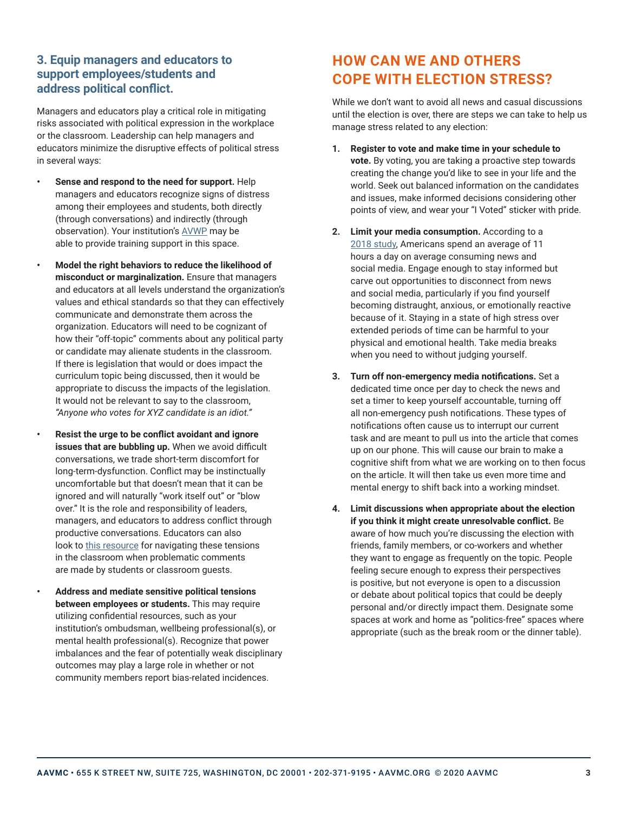#### **3. Equip managers and educators to support employees/students and address political confict.**

Managers and educators play a critical role in mitigating risks associated with political expression in the workplace or the classroom. Leadership can help managers and educators minimize the disruptive effects of political stress in several ways:

- **• Sense and respond to the need for support.** Help managers and educators recognize signs of distress among their employees and students, both directly (through conversations) and indirectly (through observation). Your institution's [AVWP](https://www.aavmc.org/wellness/academic-veterinary-wellbeing-professionals) may be able to provide training support in this space.
- **• Model the right behaviors to reduce the likelihood of misconduct or marginalization.** Ensure that managers and educators at all levels understand the organization's values and ethical standards so that they can effectively communicate and demonstrate them across the organization. Educators will need to be cognizant of how their "off-topic" comments about any political party or candidate may alienate students in the classroom. If there is legislation that would or does impact the curriculum topic being discussed, then it would be appropriate to discuss the impacts of the legislation. It would not be relevant to say to the classroom, *"Anyone who votes for XYZ candidate is an idiot."*
	- **• Resist the urge to be confict avoidant and ignore issues that are bubbling up.** When we avoid difficult conversations, we trade short-term discomfort for long-term-dysfunction. Confict may be instinctually uncomfortable but that doesn't mean that it can be ignored and will naturally "work itself out" or "blow over." It is the role and responsibility of leaders, managers, and educators to address confict through productive conversations. Educators can also look to [this resource](https://www.tolerance.org/magazine/spring-2019/speaking-up-without-tearing-down) for navigating these tensions in the classroom when problematic comments are made by students or classroom guests.
		- **• Address and mediate sensitive political tensions between employees or students.** This may require utilizing confdential resources, such as your institution's ombudsman, wellbeing professional(s), or mental health professional(s). Recognize that power imbalances and the fear of potentially weak disciplinary outcomes may play a large role in whether or not community members report bias-related incidences.

## **HOW CAN WE AND OTHERS COPE WITH ELECTION STRESS?**

While we don't want to avoid all news and casual discussions until the election is over, there are steps we can take to help us manage stress related to any election:

- **1. Register to vote and make time in your schedule to vote.** By voting, you are taking a proactive step towards creating the change you'd like to see in your life and the world. Seek out balanced information on the candidates and issues, make informed decisions considering other points of view, and wear your "I Voted" sticker with pride.
- **2. Limit your media consumption.** According to a [2018 study](https://urldefense.com/v3/__https:/qz.com/1344501/americans-now-spend-11-hours-with-media-in-an-average-day-study/__;!!PIZeeW5wscynRQ!-dTyuHqXrMrA7OxplcOtilmzBCKuA8SgLiW6goMMod1zWYD9-PKE0cJaRxkuxW2W7e4xkA$), Americans spend an average of 11 hours a day on average consuming news and social media. Engage enough to stay informed but carve out opportunities to disconnect from news and social media, particularly if you find yourself becoming distraught, anxious, or emotionally reactive because of it. Staying in a state of high stress over extended periods of time can be harmful to your physical and emotional health. Take media breaks when you need to without judging yourself.
- **3. Turn off non-emergency media notifcations.** Set a dedicated time once per day to check the news and set a timer to keep yourself accountable, turning off all non-emergency push notifcations. These types of notifcations often cause us to interrupt our current task and are meant to pull us into the article that comes up on our phone. This will cause our brain to make a cognitive shift from what we are working on to then focus on the article. It will then take us even more time and mental energy to shift back into a working mindset.
- **4. Limit discussions when appropriate about the election if you think it might create unresolvable confict.** Be aware of how much you're discussing the election with friends, family members, or co-workers and whether they want to engage as frequently on the topic. People feeling secure enough to express their perspectives is positive, but not everyone is open to a discussion or debate about political topics that could be deeply personal and/or directly impact them. Designate some spaces at work and home as "politics-free" spaces where appropriate (such as the break room or the dinner table).